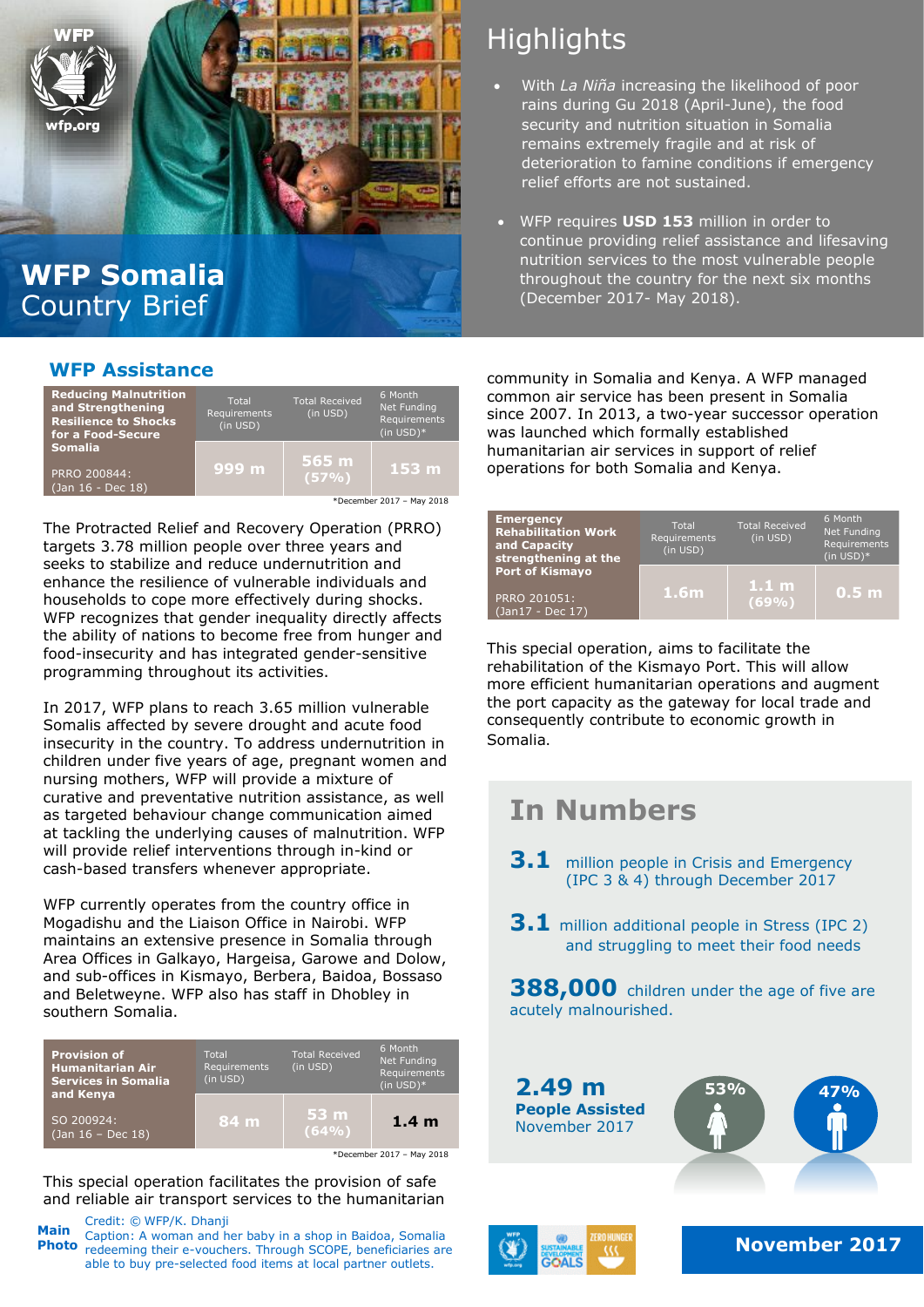

## **WFP Somalia** Country Brief

#### **WFP Assistance**

| <b>Reducing Malnutrition</b><br>and Strengthening<br><b>Resilience to Shocks</b><br>for a Food-Secure | Total<br>Requirements<br>(in USD) | <b>Total Received</b><br>(in USD) | 6 Month<br>Net Funding<br>Requirements<br>$(in USD)*$ |
|-------------------------------------------------------------------------------------------------------|-----------------------------------|-----------------------------------|-------------------------------------------------------|
| <b>Somalia</b><br>PRRO 200844:<br>$\sqrt{3}$ (Jan 16 - Dec 18)                                        | 999 m                             | 565 m<br>(57%)                    | 153 <sub>m</sub>                                      |
| *December 2017 - May 2018                                                                             |                                   |                                   |                                                       |

The Protracted Relief and Recovery Operation (PRRO) targets 3.78 million people over three years and seeks to stabilize and reduce undernutrition and enhance the resilience of vulnerable individuals and households to cope more effectively during shocks. WFP recognizes that gender inequality directly affects the ability of nations to become free from hunger and food-insecurity and has integrated gender-sensitive programming throughout its activities.

In 2017, WFP plans to reach 3.65 million vulnerable Somalis affected by severe drought and acute food insecurity in the country. To address undernutrition in children under five years of age, pregnant women and nursing mothers, WFP will provide a mixture of curative and preventative nutrition assistance, as well as targeted behaviour change communication aimed at tackling the underlying causes of malnutrition. WFP will provide relief interventions through in-kind or cash-based transfers whenever appropriate.

WFP currently operates from the country office in Mogadishu and the Liaison Office in Nairobi. WFP maintains an extensive presence in Somalia through Area Offices in Galkayo, Hargeisa, Garowe and Dolow, and sub-offices in Kismayo, Berbera, Baidoa, Bossaso and Beletweyne. WFP also has staff in Dhobley in southern Somalia.

| <b>Provision of</b><br><b>Humanitarian Air</b><br>Services in Somalia | Total<br>Requirements<br>(in USD) | <b>Total Received</b><br>(in USD) | 6 Month<br>Net Funding<br>Requirements<br>$(in USD)*$ |
|-----------------------------------------------------------------------|-----------------------------------|-----------------------------------|-------------------------------------------------------|
| and Kenya<br>SO 200924:<br>$(Jan 16 - Dec 18)$                        | 84 m                              | 53 m<br>(64%)                     | 1.4 <sub>m</sub>                                      |
| *December 2017 - May 2018                                             |                                   |                                   |                                                       |

This special operation facilitates the provision of safe and reliable air transport services to the humanitarian

Credit: © WFP/K. Dhanji Caption: A woman and her baby in a shop in Baidoa, Somalia **Photo** redeeming their e-vouchers. Through SCOPE, beneficiaries are **All and the set of the set of the set of the set of the set of the set of the set of the November 2017** able to buy pre-selected food items at local partner outlets. **Main**

# **Highlights**

- With *La Niña* increasing the likelihood of poor rains during Gu 2018 (April-June), the food security and nutrition situation in Somalia remains extremely fragile and at risk of deterioration to famine conditions if emergency relief efforts are not sustained.
- WFP requires **USD 153** million in order to continue providing relief assistance and lifesaving nutrition services to the most vulnerable people throughout the country for the next six months (December 2017- May 2018).

community in Somalia and Kenya. A WFP managed common air service has been present in Somalia since 2007. In 2013, a two-year successor operation was launched which formally established humanitarian air services in support of relief operations for both Somalia and Kenya.

| <b>Emergency</b><br><b>Rehabilitation Work</b><br>and Capacity<br>strengthening at the | Total<br>Requirements<br>(in USD) | <b>Total Received</b><br>(in USD) | 6 Month<br>Net Funding<br>Requirements<br>$(in$ USD $)*$ |
|----------------------------------------------------------------------------------------|-----------------------------------|-----------------------------------|----------------------------------------------------------|
| <b>Port of Kismayo</b><br>PRRO 201051:<br>(Jan17 - Dec 17)                             | 1.6 <sub>m</sub>                  | 1.1 <sub>m</sub><br>(69%)         | 0.5 <sub>m</sub>                                         |

This special operation, aims to facilitate the rehabilitation of the Kismayo Port. This will allow more efficient humanitarian operations and augment the port capacity as the gateway for local trade and consequently contribute to economic growth in Somalia.

# **In Numbers**

- **3.1** million people in Crisis and Emergency (IPC 3 & 4) through December 2017
- **3.1** million additional people in Stress (IPC 2) and struggling to meet their food needs

**388,000** children under the age of five are acutely malnourished.